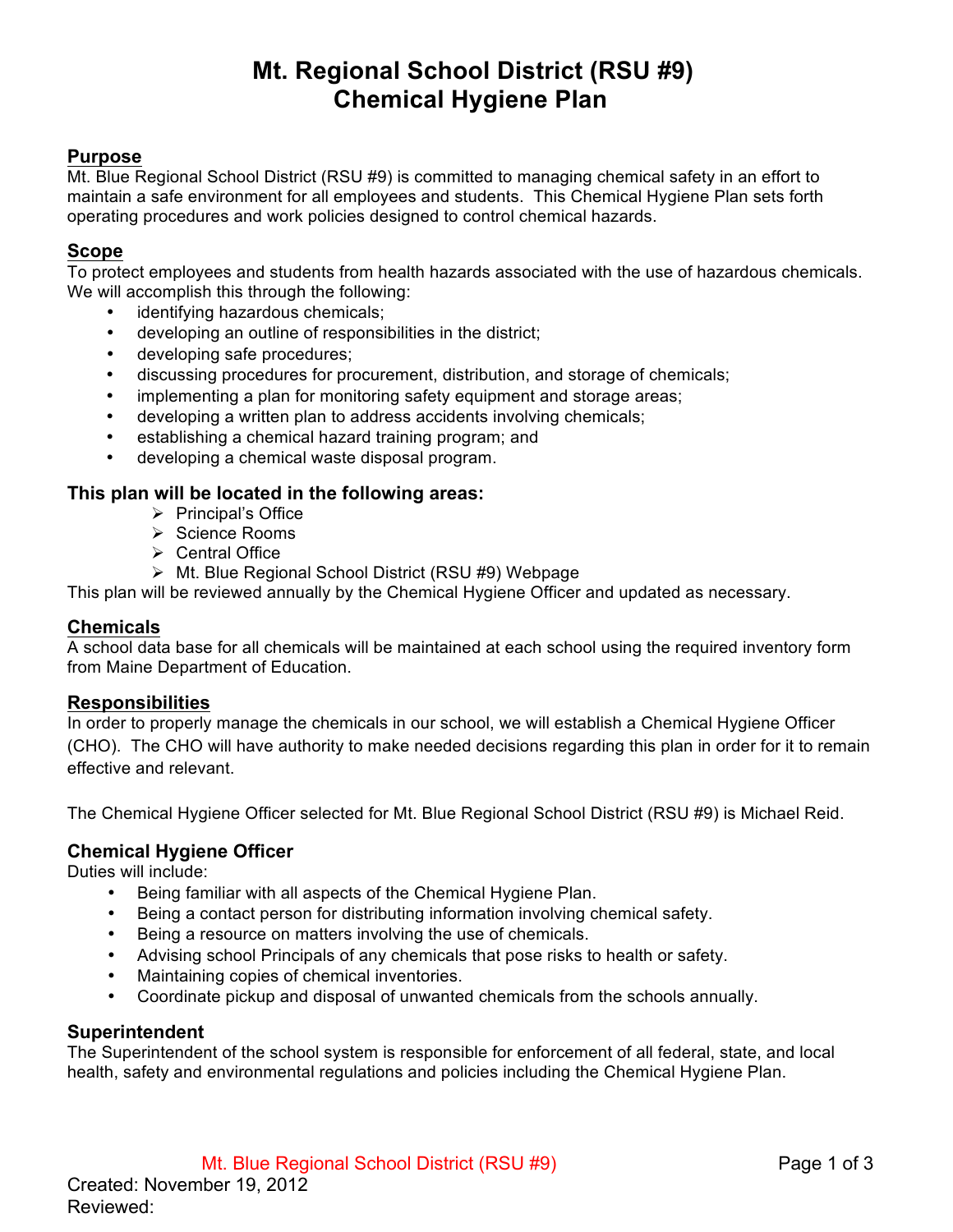# **Mt. Regional School District (RSU #9) Chemical Hygiene Plan**

# **Purpose**

Mt. Blue Regional School District (RSU #9) is committed to managing chemical safety in an effort to maintain a safe environment for all employees and students. This Chemical Hygiene Plan sets forth operating procedures and work policies designed to control chemical hazards.

## **Scope**

To protect employees and students from health hazards associated with the use of hazardous chemicals. We will accomplish this through the following:

- identifying hazardous chemicals;
- developing an outline of responsibilities in the district;
- developing safe procedures;
- discussing procedures for procurement, distribution, and storage of chemicals;
- implementing a plan for monitoring safety equipment and storage areas;
- developing a written plan to address accidents involving chemicals;
- establishing a chemical hazard training program; and
- developing a chemical waste disposal program.

## **This plan will be located in the following areas:**

- $\triangleright$  Principal's Office
- > Science Rooms
- $\triangleright$  Central Office
- > Mt. Blue Regional School District (RSU #9) Webpage

This plan will be reviewed annually by the Chemical Hygiene Officer and updated as necessary.

#### **Chemicals**

A school data base for all chemicals will be maintained at each school using the required inventory form from Maine Department of Education.

#### **Responsibilities**

In order to properly manage the chemicals in our school, we will establish a Chemical Hygiene Officer (CHO). The CHO will have authority to make needed decisions regarding this plan in order for it to remain effective and relevant.

The Chemical Hygiene Officer selected for Mt. Blue Regional School District (RSU #9) is Michael Reid.

#### **Chemical Hygiene Officer**

Duties will include:

- Being familiar with all aspects of the Chemical Hygiene Plan.
- Being a contact person for distributing information involving chemical safety.
- Being a resource on matters involving the use of chemicals.
- Advising school Principals of any chemicals that pose risks to health or safety.
- Maintaining copies of chemical inventories.
- Coordinate pickup and disposal of unwanted chemicals from the schools annually.

#### **Superintendent**

The Superintendent of the school system is responsible for enforcement of all federal, state, and local health, safety and environmental regulations and policies including the Chemical Hygiene Plan.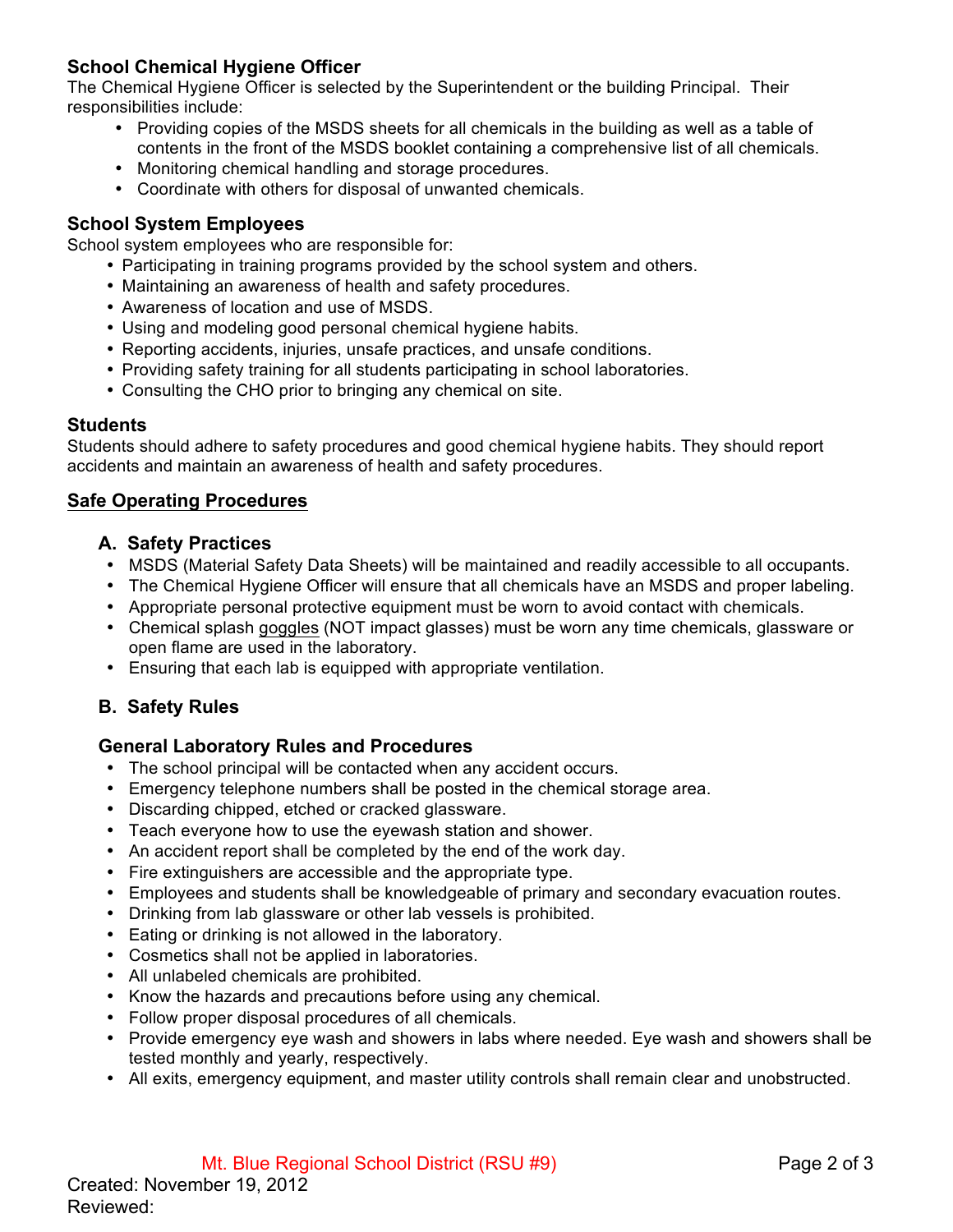# **School Chemical Hygiene Officer**

The Chemical Hygiene Officer is selected by the Superintendent or the building Principal. Their responsibilities include:

- Providing copies of the MSDS sheets for all chemicals in the building as well as a table of contents in the front of the MSDS booklet containing a comprehensive list of all chemicals.
- Monitoring chemical handling and storage procedures.
- Coordinate with others for disposal of unwanted chemicals.

# **School System Employees**

School system employees who are responsible for:

- Participating in training programs provided by the school system and others.
- Maintaining an awareness of health and safety procedures.
- Awareness of location and use of MSDS.
- Using and modeling good personal chemical hygiene habits.
- Reporting accidents, injuries, unsafe practices, and unsafe conditions.
- Providing safety training for all students participating in school laboratories.
- Consulting the CHO prior to bringing any chemical on site.

#### **Students**

Students should adhere to safety procedures and good chemical hygiene habits. They should report accidents and maintain an awareness of health and safety procedures.

# **Safe Operating Procedures**

## **A. Safety Practices**

- MSDS (Material Safety Data Sheets) will be maintained and readily accessible to all occupants.
- The Chemical Hygiene Officer will ensure that all chemicals have an MSDS and proper labeling.
- Appropriate personal protective equipment must be worn to avoid contact with chemicals.
- Chemical splash goggles (NOT impact glasses) must be worn any time chemicals, glassware or open flame are used in the laboratory.
- Ensuring that each lab is equipped with appropriate ventilation.

# **B. Safety Rules**

# **General Laboratory Rules and Procedures**

- The school principal will be contacted when any accident occurs.
- Emergency telephone numbers shall be posted in the chemical storage area.
- Discarding chipped, etched or cracked glassware.
- Teach everyone how to use the eyewash station and shower.
- An accident report shall be completed by the end of the work day.
- Fire extinguishers are accessible and the appropriate type.
- Employees and students shall be knowledgeable of primary and secondary evacuation routes.
- Drinking from lab glassware or other lab vessels is prohibited.
- Eating or drinking is not allowed in the laboratory.
- Cosmetics shall not be applied in laboratories.
- All unlabeled chemicals are prohibited.
- Know the hazards and precautions before using any chemical.
- Follow proper disposal procedures of all chemicals.
- Provide emergency eye wash and showers in labs where needed. Eye wash and showers shall be tested monthly and yearly, respectively.
- All exits, emergency equipment, and master utility controls shall remain clear and unobstructed.